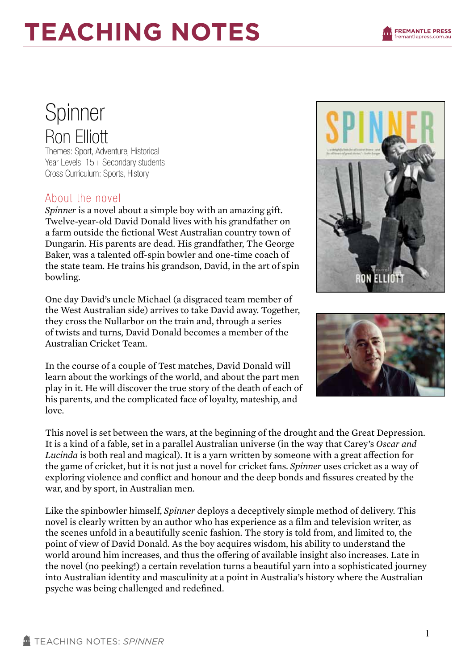# **TEACHING NOTES**

### Spinner Ron Elliott

Themes: Sport, Adventure, Historical Year Levels: 15+ Secondary students Cross Curriculum: Sports, History

#### About the novel

*Spinner* is a novel about a simple boy with an amazing gift. Twelve-year-old David Donald lives with his grandfather on a farm outside the fictional West Australian country town of Dungarin. His parents are dead. His grandfather, The George Baker, was a talented off-spin bowler and one-time coach of the state team. He trains his grandson, David, in the art of spin bowling.

One day David's uncle Michael (a disgraced team member of the West Australian side) arrives to take David away. Together, they cross the Nullarbor on the train and, through a series of twists and turns, David Donald becomes a member of the Australian Cricket Team.

In the course of a couple of Test matches, David Donald will learn about the workings of the world, and about the part men play in it. He will discover the true story of the death of each of his parents, and the complicated face of loyalty, mateship, and love.

This novel is set between the wars, at the beginning of the drought and the Great Depression. It is a kind of a fable, set in a parallel Australian universe (in the way that Carey's *Oscar and Lucinda* is both real and magical). It is a yarn written by someone with a great affection for the game of cricket, but it is not just a novel for cricket fans. *Spinner* uses cricket as a way of exploring violence and conflict and honour and the deep bonds and fissures created by the war, and by sport, in Australian men.

Like the spinbowler himself, *Spinner* deploys a deceptively simple method of delivery. This novel is clearly written by an author who has experience as a film and television writer, as the scenes unfold in a beautifully scenic fashion. The story is told from, and limited to, the point of view of David Donald. As the boy acquires wisdom, his ability to understand the world around him increases, and thus the offering of available insight also increases. Late in the novel (no peeking!) a certain revelation turns a beautiful yarn into a sophisticated journey into Australian identity and masculinity at a point in Australia's history where the Australian psyche was being challenged and redefined.



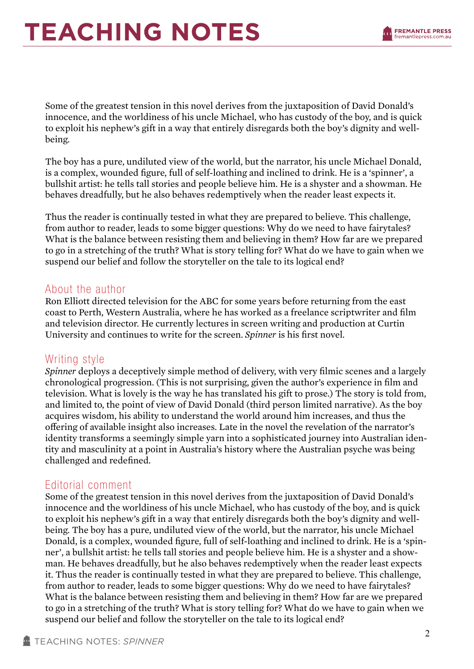

Some of the greatest tension in this novel derives from the juxtaposition of David Donald's innocence, and the worldiness of his uncle Michael, who has custody of the boy, and is quick to exploit his nephew's gift in a way that entirely disregards both the boy's dignity and wellbeing.

The boy has a pure, undiluted view of the world, but the narrator, his uncle Michael Donald, is a complex, wounded figure, full of self-loathing and inclined to drink. He is a 'spinner', a bullshit artist: he tells tall stories and people believe him. He is a shyster and a showman. He behaves dreadfully, but he also behaves redemptively when the reader least expects it.

Thus the reader is continually tested in what they are prepared to believe. This challenge, from author to reader, leads to some bigger questions: Why do we need to have fairytales? What is the balance between resisting them and believing in them? How far are we prepared to go in a stretching of the truth? What is story telling for? What do we have to gain when we suspend our belief and follow the storyteller on the tale to its logical end?

#### About the author

Ron Elliott directed television for the ABC for some years before returning from the east coast to Perth, Western Australia, where he has worked as a freelance scriptwriter and film and television director. He currently lectures in screen writing and production at Curtin University and continues to write for the screen. *Spinner* is his first novel.

#### Writing style

*Spinner* deploys a deceptively simple method of delivery, with very filmic scenes and a largely chronological progression. (This is not surprising, given the author's experience in film and television. What is lovely is the way he has translated his gift to prose.) The story is told from, and limited to, the point of view of David Donald (third person limited narrative). As the boy acquires wisdom, his ability to understand the world around him increases, and thus the offering of available insight also increases. Late in the novel the revelation of the narrator's identity transforms a seemingly simple yarn into a sophisticated journey into Australian identity and masculinity at a point in Australia's history where the Australian psyche was being challenged and redefined.

#### Editorial comment

Some of the greatest tension in this novel derives from the juxtaposition of David Donald's innocence and the worldiness of his uncle Michael, who has custody of the boy, and is quick to exploit his nephew's gift in a way that entirely disregards both the boy's dignity and wellbeing. The boy has a pure, undiluted view of the world, but the narrator, his uncle Michael Donald, is a complex, wounded figure, full of self-loathing and inclined to drink. He is a 'spinner', a bullshit artist: he tells tall stories and people believe him. He is a shyster and a showman. He behaves dreadfully, but he also behaves redemptively when the reader least expects it. Thus the reader is continually tested in what they are prepared to believe. This challenge, from author to reader, leads to some bigger questions: Why do we need to have fairytales? What is the balance between resisting them and believing in them? How far are we prepared to go in a stretching of the truth? What is story telling for? What do we have to gain when we suspend our belief and follow the storyteller on the tale to its logical end?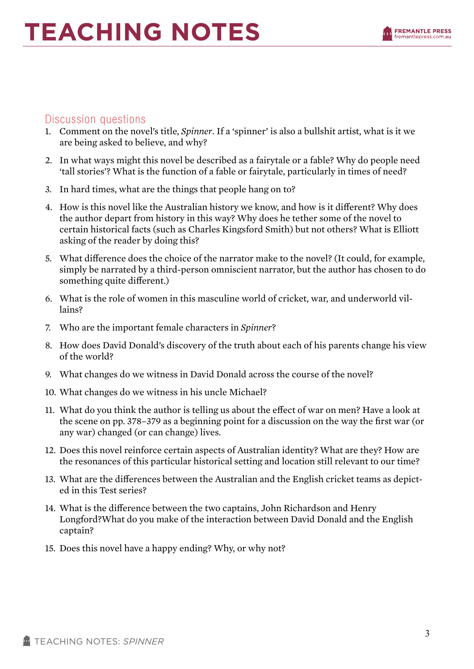#### Discussion questions

- 1. Comment on the novel's title, *Spinner*. If a 'spinner' is also a bullshit artist, what is it we are being asked to believe, and why?
- 2. In what ways might this novel be described as a fairytale or a fable? Why do people need 'tall stories'? What is the function of a fable or fairytale, particularly in times of need?
- 3. In hard times, what are the things that people hang on to?
- 4. How is this novel like the Australian history we know, and how is it different? Why does the author depart from history in this way? Why does he tether some of the novel to certain historical facts (such as Charles Kingsford Smith) but not others? What is Elliott asking of the reader by doing this?
- 5. What difference does the choice of the narrator make to the novel? (It could, for example, simply be narrated by a third-person omniscient narrator, but the author has chosen to do something quite different.)
- 6. What is the role of women in this masculine world of cricket, war, and underworld villains?
- 7. Who are the important female characters in *Spinner*?
- 8. How does David Donald's discovery of the truth about each of his parents change his view of the world?
- 9. What changes do we witness in David Donald across the course of the novel?
- 10. What changes do we witness in his uncle Michael?
- 11. What do you think the author is telling us about the effect of war on men? Have a look at the scene on pp. 378–379 as a beginning point for a discussion on the way the first war (or any war) changed (or can change) lives.
- 12. Does this novel reinforce certain aspects of Australian identity? What are they? How are the resonances of this particular historical setting and location still relevant to our time?
- 13. What are the differences between the Australian and the English cricket teams as depicted in this Test series?
- 14. What is the difference between the two captains, John Richardson and Henry Longford?What do you make of the interaction between David Donald and the English captain?
- 15. Does this novel have a happy ending? Why, or why not?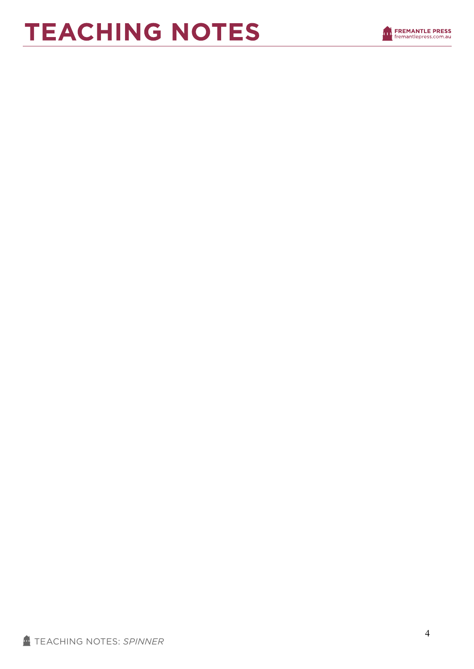## **TEACHING NOTES**